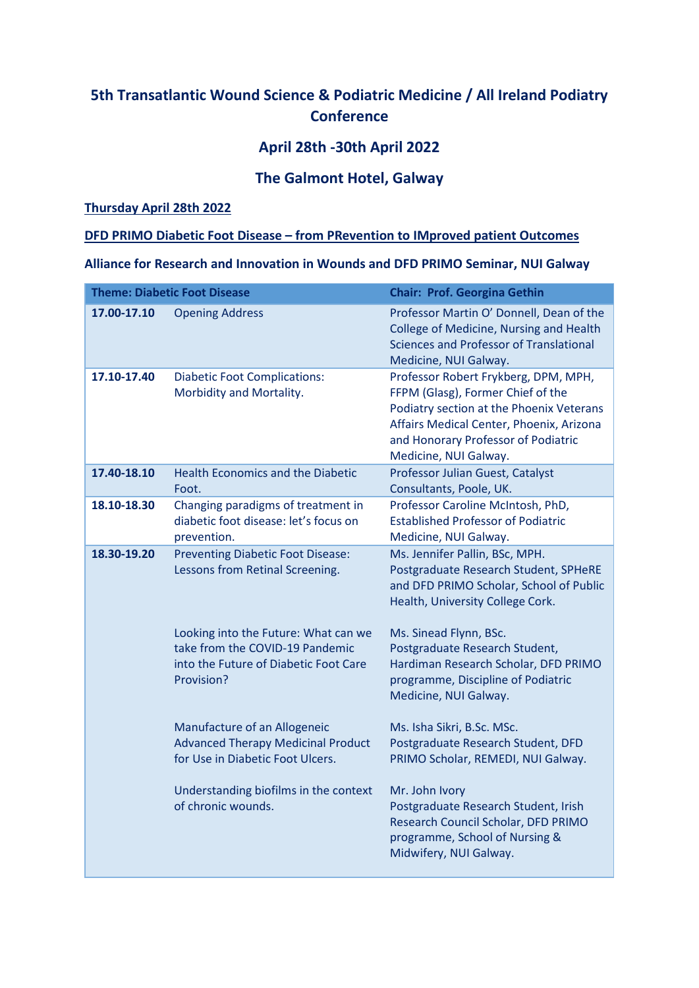# **5th Transatlantic Wound Science & Podiatric Medicine / All Ireland Podiatry Conference**

## **April 28th -30th April 2022**

## **The Galmont Hotel, Galway**

### **Thursday April 28th 2022**

#### **DFD PRIMO Diabetic Foot Disease – from PRevention to IMproved patient Outcomes**

**Alliance for Research and Innovation in Wounds and DFD PRIMO Seminar, NUI Galway**

|             | <b>Theme: Diabetic Foot Disease</b>                                                                                            | <b>Chair: Prof. Georgina Gethin</b>                                                                                                                                                                                               |
|-------------|--------------------------------------------------------------------------------------------------------------------------------|-----------------------------------------------------------------------------------------------------------------------------------------------------------------------------------------------------------------------------------|
| 17.00-17.10 | <b>Opening Address</b>                                                                                                         | Professor Martin O' Donnell, Dean of the<br>College of Medicine, Nursing and Health<br>Sciences and Professor of Translational<br>Medicine, NUI Galway.                                                                           |
| 17.10-17.40 | <b>Diabetic Foot Complications:</b><br>Morbidity and Mortality.                                                                | Professor Robert Frykberg, DPM, MPH,<br>FFPM (Glasg), Former Chief of the<br>Podiatry section at the Phoenix Veterans<br>Affairs Medical Center, Phoenix, Arizona<br>and Honorary Professor of Podiatric<br>Medicine, NUI Galway. |
| 17.40-18.10 | <b>Health Economics and the Diabetic</b><br>Foot.                                                                              | Professor Julian Guest, Catalyst<br>Consultants, Poole, UK.                                                                                                                                                                       |
| 18.10-18.30 | Changing paradigms of treatment in<br>diabetic foot disease: let's focus on<br>prevention.                                     | Professor Caroline McIntosh, PhD,<br><b>Established Professor of Podiatric</b><br>Medicine, NUI Galway.                                                                                                                           |
| 18.30-19.20 | <b>Preventing Diabetic Foot Disease:</b><br>Lessons from Retinal Screening.                                                    | Ms. Jennifer Pallin, BSc, MPH.<br>Postgraduate Research Student, SPHeRE<br>and DFD PRIMO Scholar, School of Public<br>Health, University College Cork.                                                                            |
|             | Looking into the Future: What can we<br>take from the COVID-19 Pandemic<br>into the Future of Diabetic Foot Care<br>Provision? | Ms. Sinead Flynn, BSc.<br>Postgraduate Research Student,<br>Hardiman Research Scholar, DFD PRIMO<br>programme, Discipline of Podiatric<br>Medicine, NUI Galway.                                                                   |
|             | Manufacture of an Allogeneic<br><b>Advanced Therapy Medicinal Product</b><br>for Use in Diabetic Foot Ulcers.                  | Ms. Isha Sikri, B.Sc. MSc.<br>Postgraduate Research Student, DFD<br>PRIMO Scholar, REMEDI, NUI Galway.                                                                                                                            |
|             | Understanding biofilms in the context<br>of chronic wounds.                                                                    | Mr. John Ivory<br>Postgraduate Research Student, Irish<br>Research Council Scholar, DFD PRIMO<br>programme, School of Nursing &<br>Midwifery, NUI Galway.                                                                         |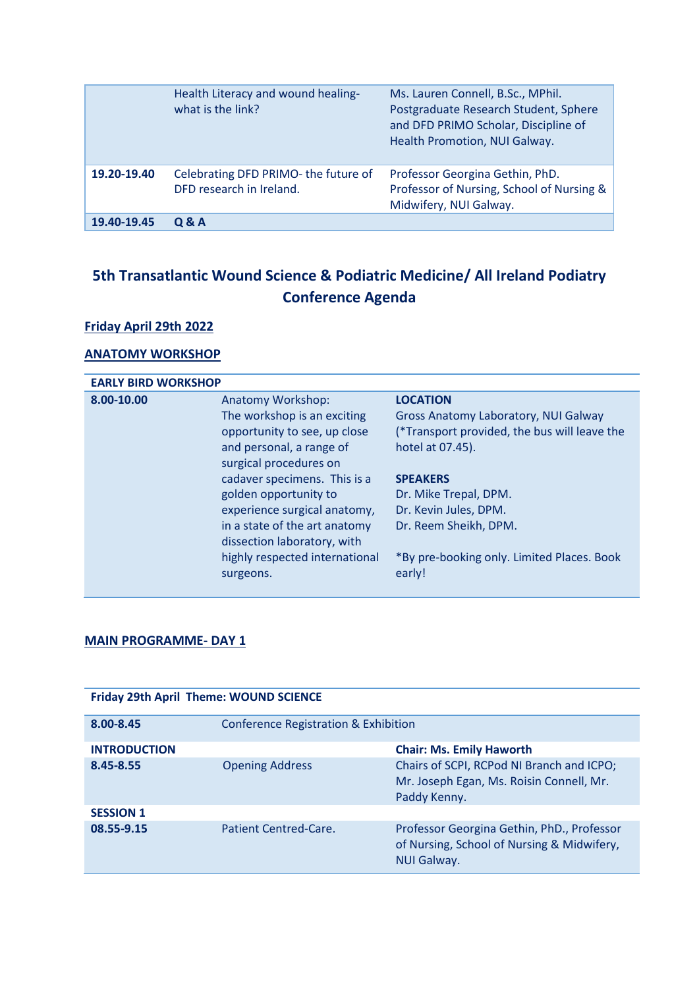|             | Health Literacy and wound healing-<br>what is the link?          | Ms. Lauren Connell, B.Sc., MPhil.<br>Postgraduate Research Student, Sphere<br>and DFD PRIMO Scholar, Discipline of<br>Health Promotion, NUI Galway. |
|-------------|------------------------------------------------------------------|-----------------------------------------------------------------------------------------------------------------------------------------------------|
| 19.20-19.40 | Celebrating DFD PRIMO- the future of<br>DFD research in Ireland. | Professor Georgina Gethin, PhD.<br>Professor of Nursing, School of Nursing &<br>Midwifery, NUI Galway.                                              |
| 19.40-19.45 | Q & A                                                            |                                                                                                                                                     |

# **5th Transatlantic Wound Science & Podiatric Medicine/ All Ireland Podiatry Conference Agenda**

### **Friday April 29th 2022**

### **ANATOMY WORKSHOP**

| <b>EARLY BIRD WORKSHOP</b> |                                |                                              |
|----------------------------|--------------------------------|----------------------------------------------|
| 8.00-10.00                 | Anatomy Workshop:              | <b>LOCATION</b>                              |
|                            | The workshop is an exciting    | Gross Anatomy Laboratory, NUI Galway         |
|                            | opportunity to see, up close   | (*Transport provided, the bus will leave the |
|                            | and personal, a range of       | hotel at 07.45).                             |
|                            | surgical procedures on         |                                              |
|                            | cadaver specimens. This is a   | <b>SPEAKERS</b>                              |
|                            | golden opportunity to          | Dr. Mike Trepal, DPM.                        |
|                            | experience surgical anatomy,   | Dr. Kevin Jules, DPM.                        |
|                            | in a state of the art anatomy  | Dr. Reem Sheikh, DPM.                        |
|                            | dissection laboratory, with    |                                              |
|                            | highly respected international | *By pre-booking only. Limited Places. Book   |
|                            | surgeons.                      | early!                                       |
|                            |                                |                                              |

## **MAIN PROGRAMME- DAY 1**

| <b>Friday 29th April Theme: WOUND SCIENCE</b> |                                      |                                                                                                                |
|-----------------------------------------------|--------------------------------------|----------------------------------------------------------------------------------------------------------------|
| 8.00-8.45                                     | Conference Registration & Exhibition |                                                                                                                |
| <b>INTRODUCTION</b>                           |                                      | <b>Chair: Ms. Emily Haworth</b>                                                                                |
| 8.45-8.55                                     | <b>Opening Address</b>               | Chairs of SCPI, RCPod NI Branch and ICPO;<br>Mr. Joseph Egan, Ms. Roisin Connell, Mr.<br>Paddy Kenny.          |
| <b>SESSION 1</b>                              |                                      |                                                                                                                |
| 08.55-9.15                                    | Patient Centred-Care.                | Professor Georgina Gethin, PhD., Professor<br>of Nursing, School of Nursing & Midwifery,<br><b>NUI Galway.</b> |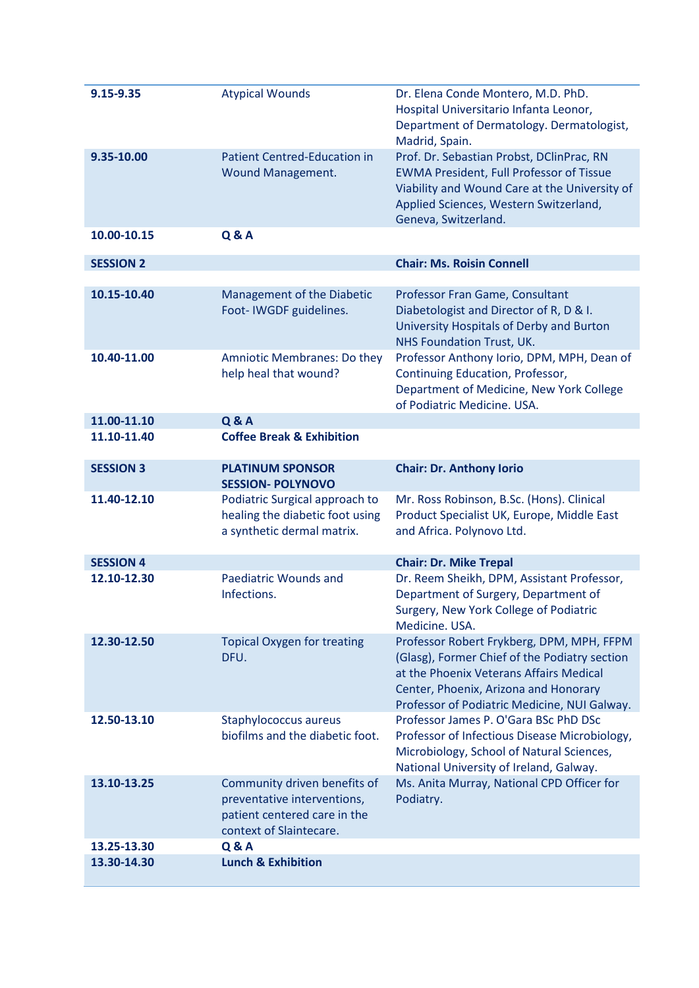| 9.15-9.35        | <b>Atypical Wounds</b>                                                                                                 | Dr. Elena Conde Montero, M.D. PhD.<br>Hospital Universitario Infanta Leonor,<br>Department of Dermatology. Dermatologist,<br>Madrid, Spain.                                                                                    |
|------------------|------------------------------------------------------------------------------------------------------------------------|--------------------------------------------------------------------------------------------------------------------------------------------------------------------------------------------------------------------------------|
| 9.35-10.00       | <b>Patient Centred-Education in</b><br>Wound Management.                                                               | Prof. Dr. Sebastian Probst, DClinPrac, RN<br><b>EWMA President, Full Professor of Tissue</b><br>Viability and Wound Care at the University of<br>Applied Sciences, Western Switzerland,<br>Geneva, Switzerland.                |
| 10.00-10.15      | <b>Q &amp; A</b>                                                                                                       |                                                                                                                                                                                                                                |
| <b>SESSION 2</b> |                                                                                                                        | <b>Chair: Ms. Roisin Connell</b>                                                                                                                                                                                               |
| 10.15-10.40      | Management of the Diabetic<br>Foot-IWGDF guidelines.                                                                   | Professor Fran Game, Consultant<br>Diabetologist and Director of R, D & I.<br>University Hospitals of Derby and Burton<br>NHS Foundation Trust, UK.                                                                            |
| 10.40-11.00      | Amniotic Membranes: Do they<br>help heal that wound?                                                                   | Professor Anthony Iorio, DPM, MPH, Dean of<br>Continuing Education, Professor,<br>Department of Medicine, New York College<br>of Podiatric Medicine. USA.                                                                      |
| 11.00-11.10      | <b>Q &amp; A</b>                                                                                                       |                                                                                                                                                                                                                                |
| 11.10-11.40      | <b>Coffee Break &amp; Exhibition</b>                                                                                   |                                                                                                                                                                                                                                |
| <b>SESSION 3</b> | <b>PLATINUM SPONSOR</b><br><b>SESSION- POLYNOVO</b>                                                                    | <b>Chair: Dr. Anthony Iorio</b>                                                                                                                                                                                                |
| 11.40-12.10      | Podiatric Surgical approach to<br>healing the diabetic foot using                                                      | Mr. Ross Robinson, B.Sc. (Hons). Clinical<br>Product Specialist UK, Europe, Middle East                                                                                                                                        |
|                  | a synthetic dermal matrix.                                                                                             | and Africa. Polynovo Ltd.                                                                                                                                                                                                      |
| <b>SESSION 4</b> |                                                                                                                        | <b>Chair: Dr. Mike Trepal</b>                                                                                                                                                                                                  |
| 12.10-12.30      | Paediatric Wounds and<br>Infections.                                                                                   | Dr. Reem Sheikh, DPM, Assistant Professor,<br>Department of Surgery, Department of<br>Surgery, New York College of Podiatric<br>Medicine. USA.                                                                                 |
| 12.30-12.50      | <b>Topical Oxygen for treating</b><br>DFU.                                                                             | Professor Robert Frykberg, DPM, MPH, FFPM<br>(Glasg), Former Chief of the Podiatry section<br>at the Phoenix Veterans Affairs Medical<br>Center, Phoenix, Arizona and Honorary<br>Professor of Podiatric Medicine, NUI Galway. |
| 12.50-13.10      | Staphylococcus aureus<br>biofilms and the diabetic foot.                                                               | Professor James P. O'Gara BSc PhD DSc<br>Professor of Infectious Disease Microbiology,<br>Microbiology, School of Natural Sciences,<br>National University of Ireland, Galway.                                                 |
| 13.10-13.25      | Community driven benefits of<br>preventative interventions,<br>patient centered care in the<br>context of Slaintecare. | Ms. Anita Murray, National CPD Officer for<br>Podiatry.                                                                                                                                                                        |
| 13.25-13.30      | <b>Q&amp;A</b>                                                                                                         |                                                                                                                                                                                                                                |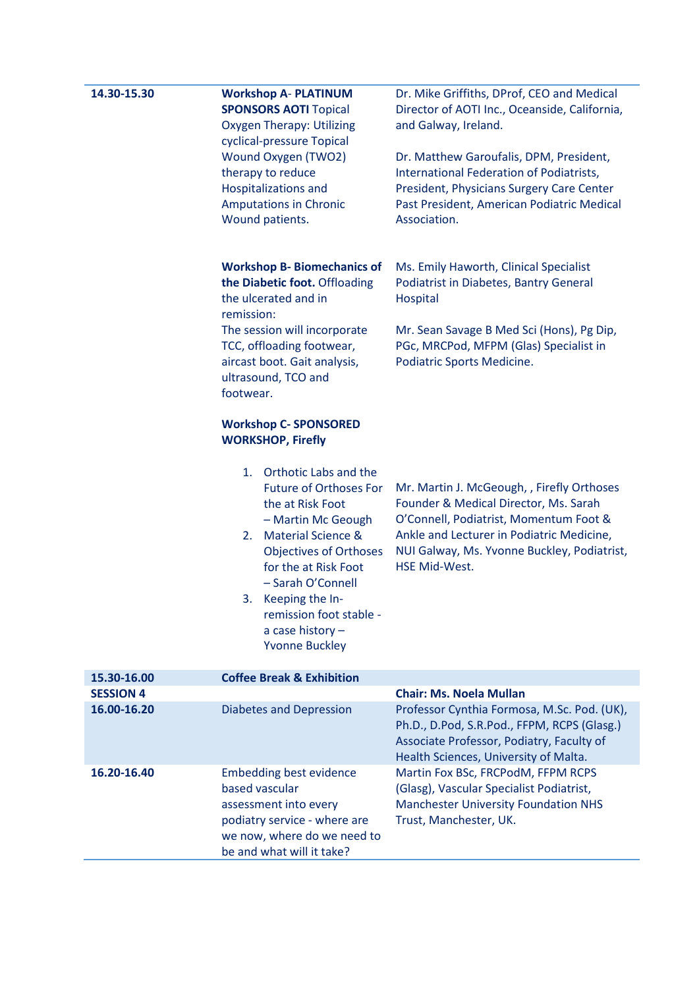| 14.30-15.30      | <b>Workshop A- PLATINUM</b><br><b>SPONSORS AOTI Topical</b><br><b>Oxygen Therapy: Utilizing</b><br>cyclical-pressure Topical<br>Wound Oxygen (TWO2)<br>therapy to reduce<br><b>Hospitalizations and</b><br><b>Amputations in Chronic</b><br>Wound patients.                                                                                                                              | Dr. Mike Griffiths, DProf, CEO and Medical<br>Director of AOTI Inc., Oceanside, California,<br>and Galway, Ireland.<br>Dr. Matthew Garoufalis, DPM, President,<br>International Federation of Podiatrists,<br>President, Physicians Surgery Care Center<br>Past President, American Podiatric Medical<br>Association. |
|------------------|------------------------------------------------------------------------------------------------------------------------------------------------------------------------------------------------------------------------------------------------------------------------------------------------------------------------------------------------------------------------------------------|-----------------------------------------------------------------------------------------------------------------------------------------------------------------------------------------------------------------------------------------------------------------------------------------------------------------------|
|                  | <b>Workshop B- Biomechanics of</b><br>the Diabetic foot. Offloading<br>the ulcerated and in<br>remission:<br>The session will incorporate<br>TCC, offloading footwear,<br>aircast boot. Gait analysis,<br>ultrasound, TCO and<br>footwear.                                                                                                                                               | Ms. Emily Haworth, Clinical Specialist<br>Podiatrist in Diabetes, Bantry General<br>Hospital<br>Mr. Sean Savage B Med Sci (Hons), Pg Dip,<br>PGc, MRCPod, MFPM (Glas) Specialist in<br>Podiatric Sports Medicine.                                                                                                     |
|                  | <b>Workshop C- SPONSORED</b><br><b>WORKSHOP, Firefly</b><br>Orthotic Labs and the<br>1.<br><b>Future of Orthoses For</b><br>the at Risk Foot<br>- Martin Mc Geough<br><b>Material Science &amp;</b><br>2.<br><b>Objectives of Orthoses</b><br>for the at Risk Foot<br>- Sarah O'Connell<br>Keeping the In-<br>3.<br>remission foot stable -<br>a case history -<br><b>Yvonne Buckley</b> | Mr. Martin J. McGeough, , Firefly Orthoses<br>Founder & Medical Director, Ms. Sarah<br>O'Connell, Podiatrist, Momentum Foot &<br>Ankle and Lecturer in Podiatric Medicine,<br>NUI Galway, Ms. Yvonne Buckley, Podiatrist,<br>HSE Mid-West.                                                                            |
| 15.30-16.00      | <b>Coffee Break &amp; Exhibition</b>                                                                                                                                                                                                                                                                                                                                                     |                                                                                                                                                                                                                                                                                                                       |
| <b>SESSION 4</b> |                                                                                                                                                                                                                                                                                                                                                                                          | <b>Chair: Ms. Noela Mullan</b>                                                                                                                                                                                                                                                                                        |
| 16.00-16.20      | <b>Diabetes and Depression</b>                                                                                                                                                                                                                                                                                                                                                           | Professor Cynthia Formosa, M.Sc. Pod. (UK),<br>Ph.D., D.Pod, S.R.Pod., FFPM, RCPS (Glasg.)<br>Associate Professor, Podiatry, Faculty of<br>Health Sciences, University of Malta.                                                                                                                                      |
| 16.20-16.40      | <b>Embedding best evidence</b><br>based vascular<br>assessment into every<br>podiatry service - where are<br>we now, where do we need to<br>be and what will it take?                                                                                                                                                                                                                    | Martin Fox BSc, FRCPodM, FFPM RCPS<br>(Glasg), Vascular Specialist Podiatrist,<br><b>Manchester University Foundation NHS</b><br>Trust, Manchester, UK.                                                                                                                                                               |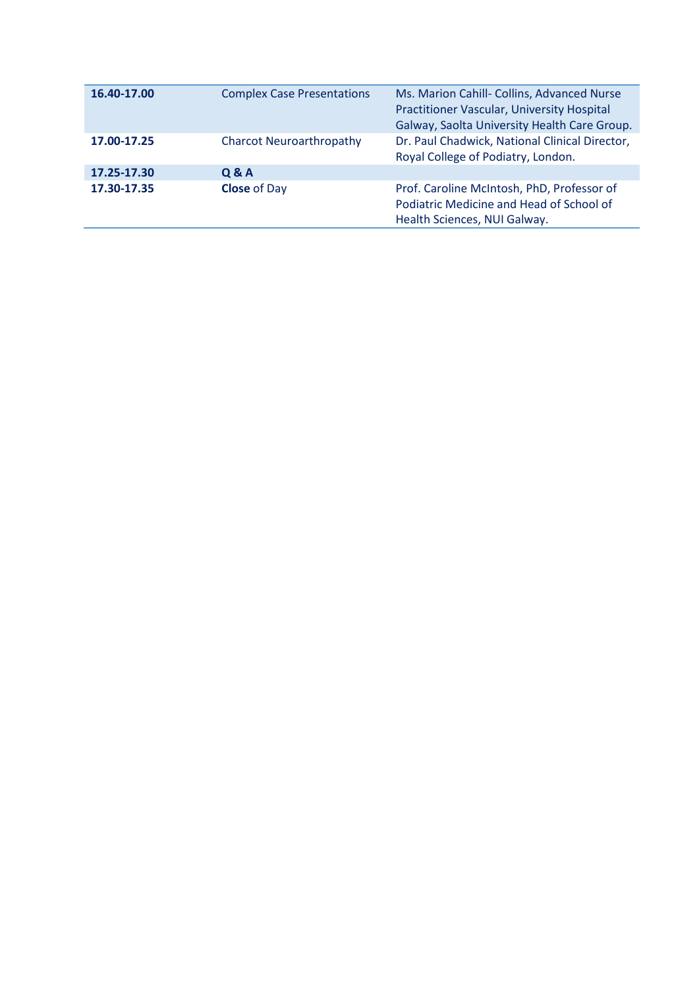| 16.40-17.00 | <b>Complex Case Presentations</b> | Ms. Marion Cahill- Collins, Advanced Nurse<br>Practitioner Vascular, University Hospital<br>Galway, Saolta University Health Care Group. |
|-------------|-----------------------------------|------------------------------------------------------------------------------------------------------------------------------------------|
| 17.00-17.25 | <b>Charcot Neuroarthropathy</b>   | Dr. Paul Chadwick, National Clinical Director,<br>Royal College of Podiatry, London.                                                     |
| 17.25-17.30 | Q & A                             |                                                                                                                                          |
| 17.30-17.35 | <b>Close of Day</b>               | Prof. Caroline McIntosh, PhD, Professor of<br>Podiatric Medicine and Head of School of<br>Health Sciences, NUI Galway.                   |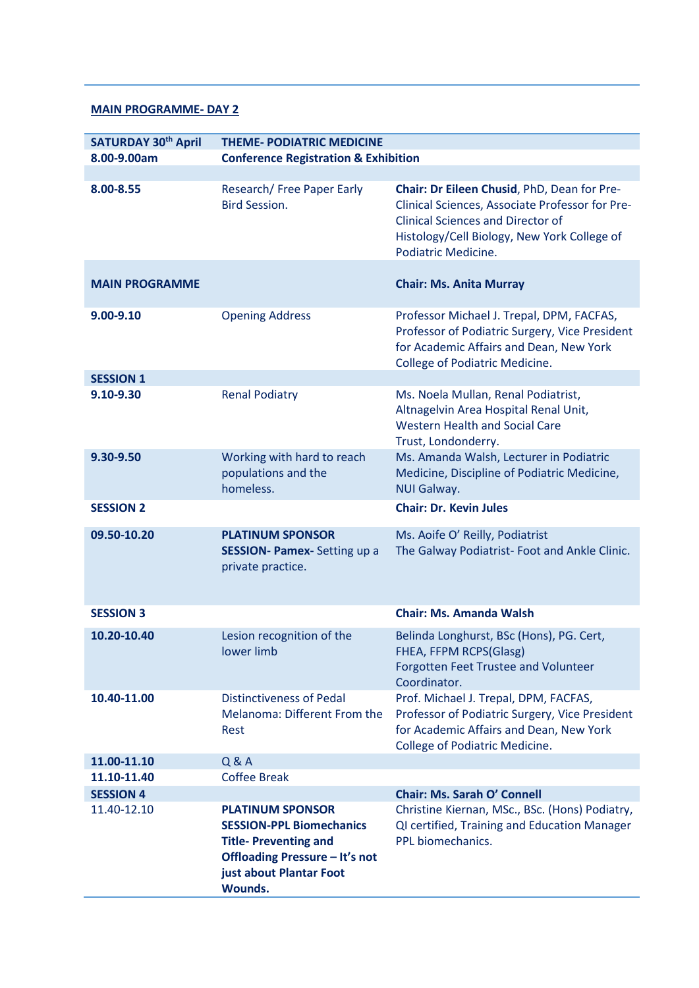#### **MAIN PROGRAMME- DAY 2**

| <b>SATURDAY 30th April</b> | <b>THEME- PODIATRIC MEDICINE</b>                                                                                                                                         |                                                                                                                                                                                                                  |
|----------------------------|--------------------------------------------------------------------------------------------------------------------------------------------------------------------------|------------------------------------------------------------------------------------------------------------------------------------------------------------------------------------------------------------------|
| 8.00-9.00am                | <b>Conference Registration &amp; Exhibition</b>                                                                                                                          |                                                                                                                                                                                                                  |
| 8.00-8.55                  | Research/ Free Paper Early<br><b>Bird Session.</b>                                                                                                                       | Chair: Dr Eileen Chusid, PhD, Dean for Pre-<br>Clinical Sciences, Associate Professor for Pre-<br><b>Clinical Sciences and Director of</b><br>Histology/Cell Biology, New York College of<br>Podiatric Medicine. |
| <b>MAIN PROGRAMME</b>      |                                                                                                                                                                          | <b>Chair: Ms. Anita Murray</b>                                                                                                                                                                                   |
| 9.00-9.10                  | <b>Opening Address</b>                                                                                                                                                   | Professor Michael J. Trepal, DPM, FACFAS,<br>Professor of Podiatric Surgery, Vice President<br>for Academic Affairs and Dean, New York<br>College of Podiatric Medicine.                                         |
| <b>SESSION 1</b>           |                                                                                                                                                                          |                                                                                                                                                                                                                  |
| 9.10-9.30                  | <b>Renal Podiatry</b>                                                                                                                                                    | Ms. Noela Mullan, Renal Podiatrist,<br>Altnagelvin Area Hospital Renal Unit,<br><b>Western Health and Social Care</b><br>Trust, Londonderry.                                                                     |
| 9.30-9.50                  | Working with hard to reach<br>populations and the<br>homeless.                                                                                                           | Ms. Amanda Walsh, Lecturer in Podiatric<br>Medicine, Discipline of Podiatric Medicine,<br><b>NUI Galway.</b>                                                                                                     |
| <b>SESSION 2</b>           |                                                                                                                                                                          | <b>Chair: Dr. Kevin Jules</b>                                                                                                                                                                                    |
| 09.50-10.20                | <b>PLATINUM SPONSOR</b><br><b>SESSION- Pamex-</b> Setting up a<br>private practice.                                                                                      | Ms. Aoife O' Reilly, Podiatrist<br>The Galway Podiatrist- Foot and Ankle Clinic.                                                                                                                                 |
| <b>SESSION 3</b>           |                                                                                                                                                                          | <b>Chair: Ms. Amanda Walsh</b>                                                                                                                                                                                   |
| 10.20-10.40                | Lesion recognition of the<br>lower limb                                                                                                                                  | Belinda Longhurst, BSc (Hons), PG. Cert,<br>FHEA, FFPM RCPS(Glasg)<br>Forgotten Feet Trustee and Volunteer<br>Coordinator.                                                                                       |
| 10.40-11.00                | <b>Distinctiveness of Pedal</b><br>Melanoma: Different From the<br>Rest                                                                                                  | Prof. Michael J. Trepal, DPM, FACFAS,<br>Professor of Podiatric Surgery, Vice President<br>for Academic Affairs and Dean, New York<br><b>College of Podiatric Medicine.</b>                                      |
| 11.00-11.10                | Q & A                                                                                                                                                                    |                                                                                                                                                                                                                  |
| 11.10-11.40                | <b>Coffee Break</b>                                                                                                                                                      |                                                                                                                                                                                                                  |
| <b>SESSION 4</b>           |                                                                                                                                                                          | <b>Chair: Ms. Sarah O' Connell</b>                                                                                                                                                                               |
| 11.40-12.10                | <b>PLATINUM SPONSOR</b><br><b>SESSION-PPL Biomechanics</b><br><b>Title-Preventing and</b><br>Offloading Pressure - It's not<br>just about Plantar Foot<br><b>Wounds.</b> | Christine Kiernan, MSc., BSc. (Hons) Podiatry,<br>QI certified, Training and Education Manager<br>PPL biomechanics.                                                                                              |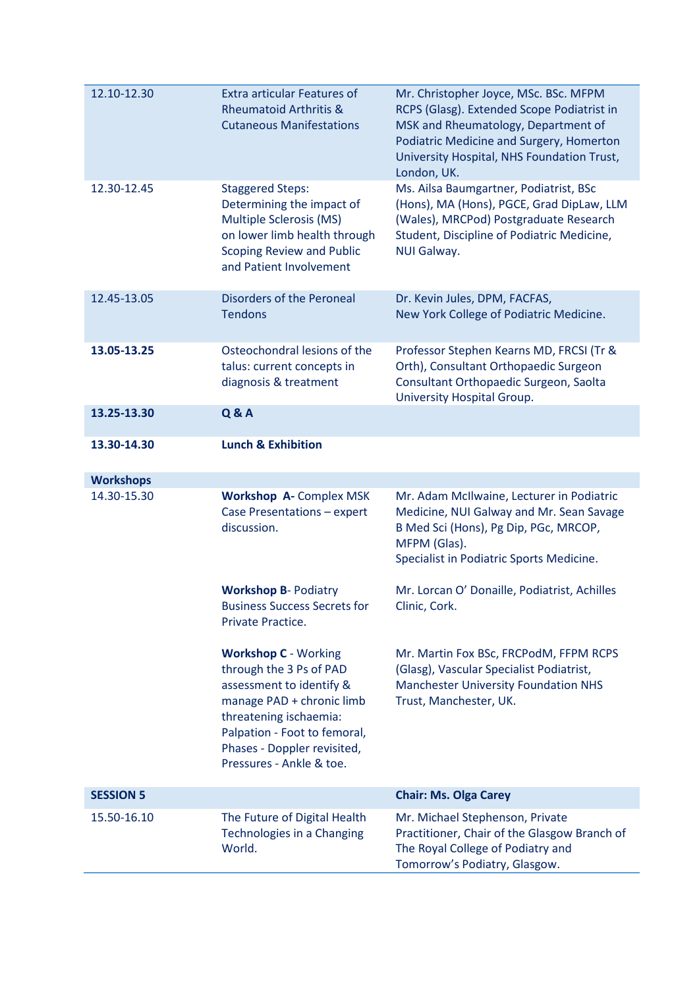| 12.10-12.30      | <b>Extra articular Features of</b><br><b>Rheumatoid Arthritis &amp;</b><br><b>Cutaneous Manifestations</b>                                                                                                                           | Mr. Christopher Joyce, MSc. BSc. MFPM<br>RCPS (Glasg). Extended Scope Podiatrist in<br>MSK and Rheumatology, Department of<br>Podiatric Medicine and Surgery, Homerton<br>University Hospital, NHS Foundation Trust,<br>London, UK. |
|------------------|--------------------------------------------------------------------------------------------------------------------------------------------------------------------------------------------------------------------------------------|-------------------------------------------------------------------------------------------------------------------------------------------------------------------------------------------------------------------------------------|
| 12.30-12.45      | <b>Staggered Steps:</b><br>Determining the impact of<br>Multiple Sclerosis (MS)<br>on lower limb health through<br><b>Scoping Review and Public</b><br>and Patient Involvement                                                       | Ms. Ailsa Baumgartner, Podiatrist, BSc<br>(Hons), MA (Hons), PGCE, Grad DipLaw, LLM<br>(Wales), MRCPod) Postgraduate Research<br>Student, Discipline of Podiatric Medicine,<br>NUI Galway.                                          |
| 12.45-13.05      | Disorders of the Peroneal<br><b>Tendons</b>                                                                                                                                                                                          | Dr. Kevin Jules, DPM, FACFAS,<br>New York College of Podiatric Medicine.                                                                                                                                                            |
| 13.05-13.25      | Osteochondral lesions of the<br>talus: current concepts in<br>diagnosis & treatment                                                                                                                                                  | Professor Stephen Kearns MD, FRCSI (Tr &<br>Orth), Consultant Orthopaedic Surgeon<br>Consultant Orthopaedic Surgeon, Saolta<br>University Hospital Group.                                                                           |
| 13.25-13.30      | <b>Q&amp;A</b>                                                                                                                                                                                                                       |                                                                                                                                                                                                                                     |
| 13.30-14.30      | <b>Lunch &amp; Exhibition</b>                                                                                                                                                                                                        |                                                                                                                                                                                                                                     |
| <b>Workshops</b> |                                                                                                                                                                                                                                      |                                                                                                                                                                                                                                     |
| 14.30-15.30      | <b>Workshop A- Complex MSK</b><br>Case Presentations - expert<br>discussion.                                                                                                                                                         | Mr. Adam McIlwaine, Lecturer in Podiatric<br>Medicine, NUI Galway and Mr. Sean Savage<br>B Med Sci (Hons), Pg Dip, PGc, MRCOP,<br>MFPM (Glas).<br>Specialist in Podiatric Sports Medicine.                                          |
|                  | <b>Workshop B- Podiatry</b><br><b>Business Success Secrets for</b><br>Private Practice.                                                                                                                                              | Mr. Lorcan O' Donaille, Podiatrist, Achilles<br>Clinic, Cork.                                                                                                                                                                       |
|                  | <b>Workshop C - Working</b><br>through the 3 Ps of PAD<br>assessment to identify &<br>manage PAD + chronic limb<br>threatening ischaemia:<br>Palpation - Foot to femoral,<br>Phases - Doppler revisited,<br>Pressures - Ankle & toe. | Mr. Martin Fox BSc, FRCPodM, FFPM RCPS<br>(Glasg), Vascular Specialist Podiatrist,<br><b>Manchester University Foundation NHS</b><br>Trust, Manchester, UK.                                                                         |
| <b>SESSION 5</b> |                                                                                                                                                                                                                                      | <b>Chair: Ms. Olga Carey</b>                                                                                                                                                                                                        |
| 15.50-16.10      | The Future of Digital Health<br>Technologies in a Changing<br>World.                                                                                                                                                                 | Mr. Michael Stephenson, Private<br>Practitioner, Chair of the Glasgow Branch of<br>The Royal College of Podiatry and<br>Tomorrow's Podiatry, Glasgow.                                                                               |